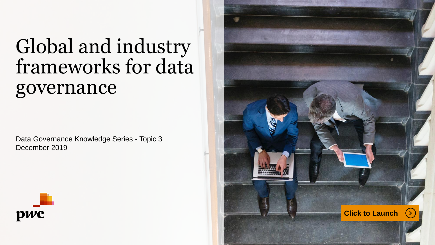# Global and industry frameworks for data governance

Data Governance Knowledge Series - Topic 3 December 2019



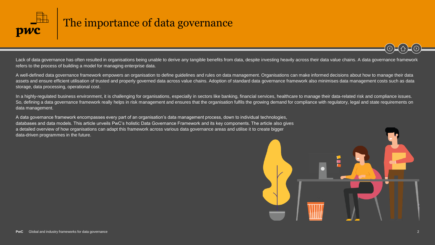<span id="page-1-0"></span>

### The importance of data governance

Lack of data governance has often resulted in organisations being unable to derive any tangible benefits from data, despite investing heavily across their data value chains. A data governance framework refers to the process of building a model for managing enterprise data.

A well-defined data governance framework empowers an organisation to define guidelines and rules on data management. Organisations can make informed decisions about how to manage their data assets and ensure efficient utilisation of trusted and properly governed data across value chains. Adoption of standard data governance framework also minimises data management costs such as data storage, data processing, operational cost.

In a highly-regulated business environment, it is challenging for organisations, especially in sectors like banking, financial services, healthcare to manage their data-related risk and compliance issues. So, defining a data governance framework really helps in risk management and ensures that the organisation fulfils the growing demand for compliance with regulatory, legal and state requirements on data management.

A data governance framework encompasses every part of an organisation's data management process, down to individual technologies, databases and data models. This article unveils PwC's holistic Data Governance Framework and its key components. The article also gives a detailed overview of how organisations can adapt this framework across various data governance areas and utilise it to create bigger data-driven programmes in the future.

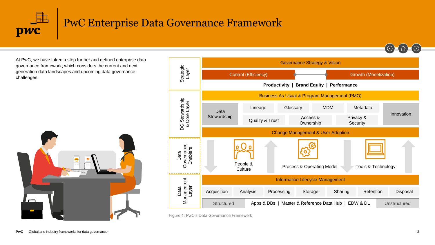

# PwC Enterprise Data Governance Framework

At PwC, we have taken a step further and defined enterprise data governance framework, which considers the current and next generation data landscapes and upcoming data governance challenges.





Figure 1: PwC's Data Governance Framework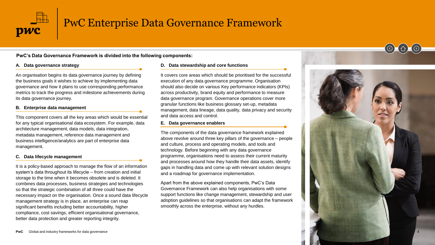

## PwC Enterprise Data Governance Framework

**PwC's Data Governance Framework is divided into the following components:**

#### **A. Data governance strategy**

An organisation begins its data governance journey by defining the business goals it wishes to achieve by implementing data governance and how it plans to use corresponding performance metrics to track the progress and milestone achievements during its data governance journey.

#### **B. Enterprise data management**

This component covers all the key areas which would be essential for any typical organisational data ecosystem. For example, data architecture management, data models, data integration, metadata management, reference data management and business intelligence/analytics are part of enterprise data management.

#### **C. Data lifecycle management**

It is a policy-based approach to manage the flow of an information system's data throughout its lifecycle – from creation and initial storage to the time when it becomes obsolete and is deleted. It combines data processes, business strategies and technologies so that the strategic combination of all three could have the necessary impact on the organisation. Once a sound data lifecycle management strategy is in place, an enterprise can reap significant benefits including better accountability, higher compliance, cost savings, efficient organisational governance, better data protection and greater reporting integrity.

#### **D. Data stewardship and core functions**

It covers core areas which should be prioritised for the successful execution of any data governance programme. Organisation should also decide on various Key performance indicators (KPIs) across productivity, brand equity and performance to measure data governance program. Governance operations cover more granular functions like business glossary set-up, metadata management, data lineage, data quality, data privacy and security and data access and control.

#### **E. Data governance enablers**

The components of the data governance framework explained above revolve around three key pillars of the governance – people and culture, process and operating models, and tools and technology. Before beginning with any data governance programme, organisations need to assess their current maturity and processes around how they handle their data assets, identify gaps in handling data and come up with relevant solution designs and a roadmap for governance implementation.

Apart from the above explained components, PwC's Data Governance Framework can also help organisations with some support functions like change management, stewardship and user adoption guidelines so that organisations can adapt the framework smoothly across the enterprise, without any hurdles.

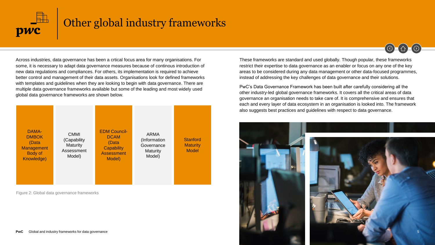

### Other global industry frameworks

Across industries, data governance has been a crtical focus area for many organisations. For some, it is necessary to adapt data governance measures because of continous introduction of new data regulations and compliances. For others, its implementation is required to achieve better control and management of their data assets. Organisations look for defined frameworks with templates and guidelines when they are looking to begin with data governance. There are multiple data governance frameworks available but some of the leading and most widely used global data governance frameworks are shown below.



Figure 2: Global data governance frameworks

These frameworks are standard and used globally. Though popular, these frameworks restrict their expertise to data governance as an enabler or focus on any one of the key areas to be considered during any data management or other data-focused programmes, instead of addressing the key challenges of data governance and their solutions.

 $\textcircled{6}$   $\textcircled{1}$   $\textcircled{9}$ 

PwC's Data Governance Framework has been built after carefully considering all the other industry-led global governance frameworks. It covers all the critical areas of data governance an organisation needs to take care of. It is comprehensive and ensures that each and every layer of data ecosystem in an organisation is looked into. The framework also suggests best practices and guidelines with respect to data governance.

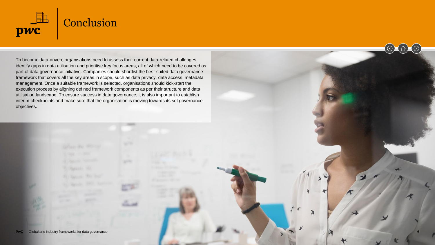

To become data-driven, organisations need to assess their current data-related challenges, identify gaps in data utilisation and prioritise key focus areas, all of which need to be covered as part of data governance initiative. Companies should shortlist the best-suited data governance framework that covers all the key areas in scope, such as data privacy, data access, metadata management. Once a suitable framework is selected, organisations should kick-start the execution process by aligning defined framework components as per their structure and data utilisation landscape. To ensure success in data governance, it is also important to establish interim checkpoints and make sure that the organisation is moving towards its set governance objectives.

6